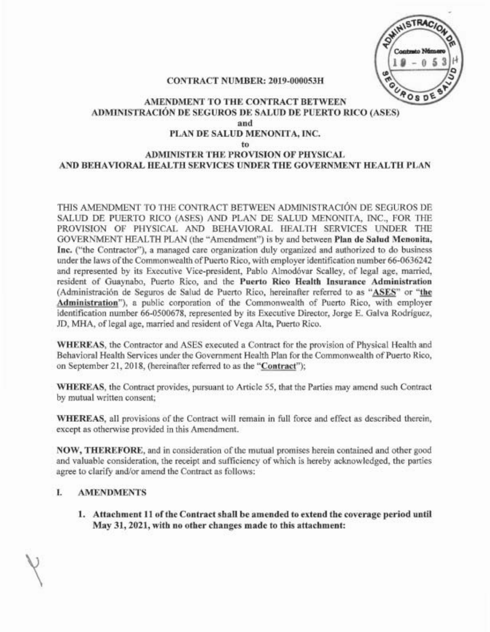SWINISTRACIO UROS DE

#### CONTRACT NUMBER: 2019-000053H

#### AMENDMENT TO THE CONTRACT BETWEEN ADMINISTRACIÓN DE SEGUROS DE SALUD DE PUERTO RICO (ASES) and PLAN DE SALUD MENONITA, INC.

#### to

#### ADMINISTER THE PROVISION OF PHYSICAL AND BEHAVIORAL HEALTH SERVICES UNDER THE GOVERNMENT HEALTH PLAN

THIS AMENDMENT TO THE CONTRACT BETWEEN ADMINISTRACIÓN DE SEGUROS DE SALUD DE PUERTO RICO (ASES) AND PLAN DE SALUD MENONITA, INC., FOR THE PROVISION OF PHYSICAL AND BEHAVIORAL HEALTH SERVICES UNDER THE GOVERNMENT HEALTH PLAN (the "Amendment") is by and between Plan de Salud Menonita, Inc. ("the Contractor"), a managed care organization duly organized and authorized to do business under the laws of the Commonwealth of Puerto Rico, with employer identification number 66-0636242 and represented by its Executive Vice-president, Pablo Almodóvar Scalley, of legal age, married, resident of Guaynabo, Puerto Rico, and the Puerto Rico Health Insurance Administration (Administración de Seguros de Salud de Puerto Rico, hereinafter referred to as "ASES" or "the Administration"), a public corporation of the Commonwealth of Puerto Rico, with employer identification number 66-0500678, represented by its Executive Director, Jorge E. Galva Rodriguez, JD, MBA, of legal age, married and resident of Vega Alta, Puerto Rico.

WHEREAS, the Contractor and ASES executed a Contract for the provision of Physical Health and Behavioral Health Services under the Government Health Plan for the Commonwealth of Puerto Rico, on September 21, 2018, (hereinafter referred to as the "Contract");

WHEREAS, the Contract provides, pursuant to Article 55, that the Parties may amend such Contract by mutual written consent;

WHEREAS, all provisions of the Contract will remain in full force and effect as described therein, except as otherwise provided in this Amendment.

NOW, THEREFORE, and in consideration of the mutual promises herein contained and other good and valuable consideration, the receipt and sufficiency of which is hereby acknowledged, the parties agree to clarify and/or amend the Contract as follows:

#### I. AMENDMENTS

1. Attachment **11** ofthe Contract shall be amended to extend the coverage period until May 31, 2021, with no other changes made to this attachment: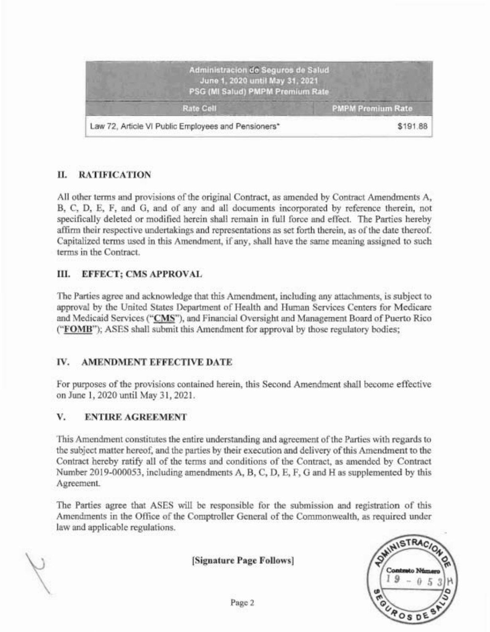

# II. RATIFICATION

All other terms and provisions of the original Contract, as amended by Contract Amendments  $A$ , B, C, D, E, F, and G, and of any and all documents incorporated by reference therein, not specifically deleted or modified herein shall remain in full force and effect. The Parties hereby affirm their respective undertakings and representations as set forth therein, as of the date thereof. Capitalized terms used in this Amendment, if any, shall have the same meaning assigned to such terms in the Contract.

### III. EFFECT; CMS APPROVAL

The Parties agree and acknowledge that this Amendment, including any attachments, is subject to approval by the United States Department of Health and Human Services Centers for Medicare and Medicaid Services ("CMS"), and Financial Oversight and Management Board of Puerto Rico ("FOMB"); ASES shall submit this Amendment for approval by those regulatory bodies;

# IV. AMENDMENT EFFECTIVE DATE

For purposes of the provisions contained herein, this Second Amendment shall become effective on June 1,2020 until May 31, 2021.

# V. ENTIRE AGREEMENT

This Amendment constitutes the entire understanding and agreement ofthe Parties with regards to the subject matter hereof, and the parties by their execution and delivery ofthis Amendment to the Contract hereby ratify all of the terms and conditions of the Contract, as amended by Contract Number 2019-000053, including amendments A, B, C, D, E, F, G and H as supplemented by this Agreement.

The Parties agree that ASES will be responsible for the submission and registration of this Amendments in the Office of the Comptroller General of the Commonwealth, as required under law and applicable regulations.

[Signature Page Follows]

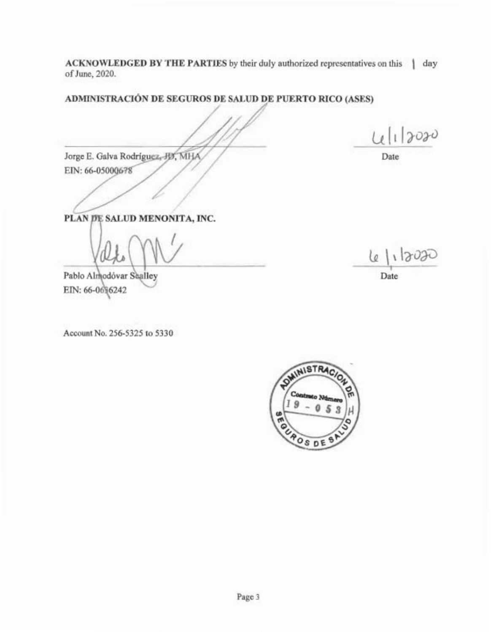ACKNOWLEDGED BY THE PARTIES by their duly authorized representatives on this \ \ day of June, 2020.

ADMINISTRACION DE SEGUROS DE SALUD DE PUERTO RICO (ASES)

Jorge E. Galva Rodríguez, JD, MHA EIN: 66-05000678

4/1/2020

Date

PLAN DE SALUD MENONITA, INC.

Pablo Almodóvar Saalley EIN: 66-0616242

Account No. 256-5325 to 5330

 $|1202$ le 1 Date

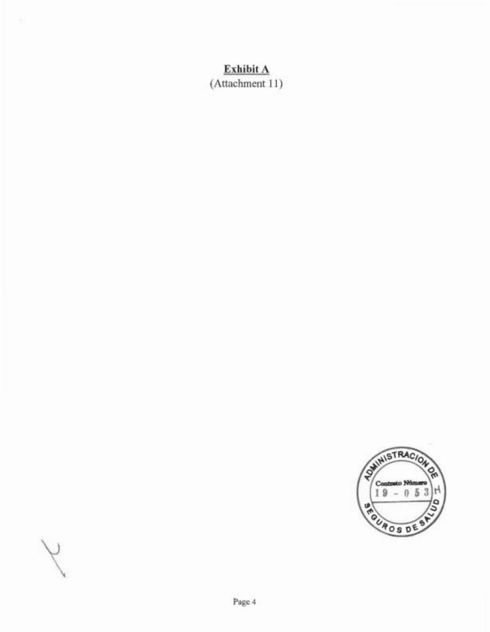# **Exhibit A**

(Attachment 11)